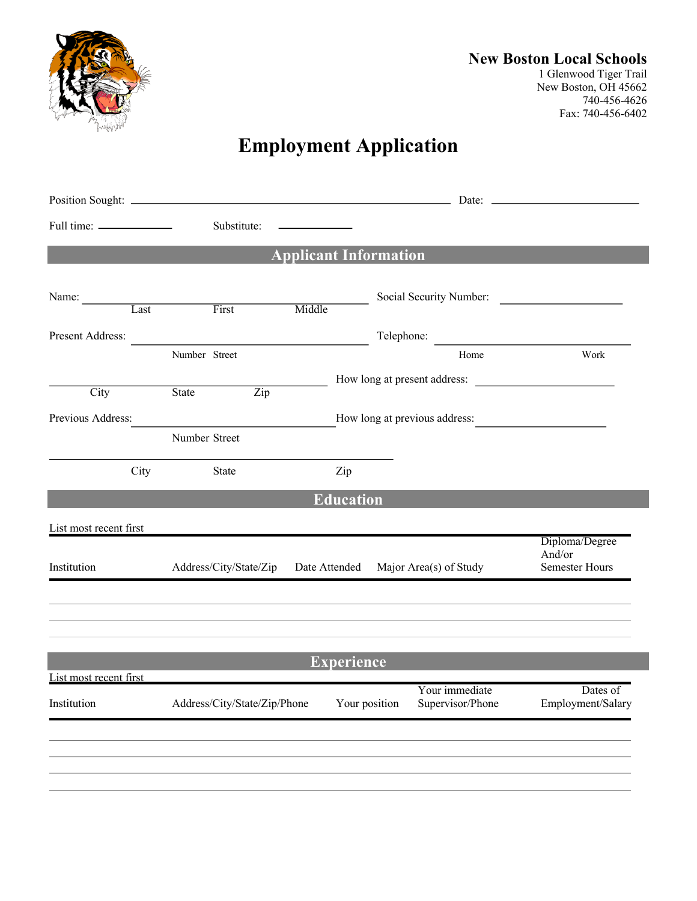

## **New Boston Local Schools**

1 Glenwood Tiger Trail New Boston, OH 45662 740-456-4626 Fax: 740-456-6402

## **Employment Application**

|                                                    | Substitute:                  |                           |                                                             |                                    |                                                   |  |
|----------------------------------------------------|------------------------------|---------------------------|-------------------------------------------------------------|------------------------------------|---------------------------------------------------|--|
|                                                    |                              |                           | <b>Applicant Information</b>                                |                                    |                                                   |  |
|                                                    |                              |                           |                                                             | Social Security Number:            |                                                   |  |
| Name: Last First                                   |                              | Middle                    |                                                             |                                    |                                                   |  |
| Present Address:                                   |                              |                           |                                                             | Telephone:                         |                                                   |  |
|                                                    | Number Street                |                           |                                                             | Home                               | Work                                              |  |
|                                                    |                              |                           |                                                             | How long at present address:       |                                                   |  |
| City                                               | <b>State</b>                 | $\overline{\mathrm{Zip}}$ |                                                             |                                    |                                                   |  |
| Previous Address:<br>How long at previous address: |                              |                           |                                                             |                                    |                                                   |  |
|                                                    | Number Street                |                           |                                                             |                                    |                                                   |  |
| City                                               | State                        |                           | Zip                                                         |                                    |                                                   |  |
|                                                    |                              |                           |                                                             |                                    |                                                   |  |
|                                                    |                              |                           | <b>Education</b>                                            |                                    |                                                   |  |
| List most recent first                             |                              |                           |                                                             |                                    |                                                   |  |
| Institution                                        |                              |                           | Address/City/State/Zip Date Attended Major Area(s) of Study |                                    | Diploma/Degree<br>And/or<br><b>Semester Hours</b> |  |
|                                                    |                              |                           |                                                             |                                    |                                                   |  |
|                                                    |                              |                           |                                                             |                                    |                                                   |  |
|                                                    |                              |                           | <b>Experience</b>                                           |                                    |                                                   |  |
| List most recent first                             |                              |                           |                                                             |                                    |                                                   |  |
| Institution                                        | Address/City/State/Zip/Phone |                           | Your position                                               | Your immediate<br>Supervisor/Phone | Dates of<br>Employment/Salary                     |  |
|                                                    |                              |                           |                                                             |                                    |                                                   |  |
|                                                    |                              |                           |                                                             |                                    |                                                   |  |
|                                                    |                              |                           |                                                             |                                    |                                                   |  |
|                                                    |                              |                           |                                                             |                                    |                                                   |  |